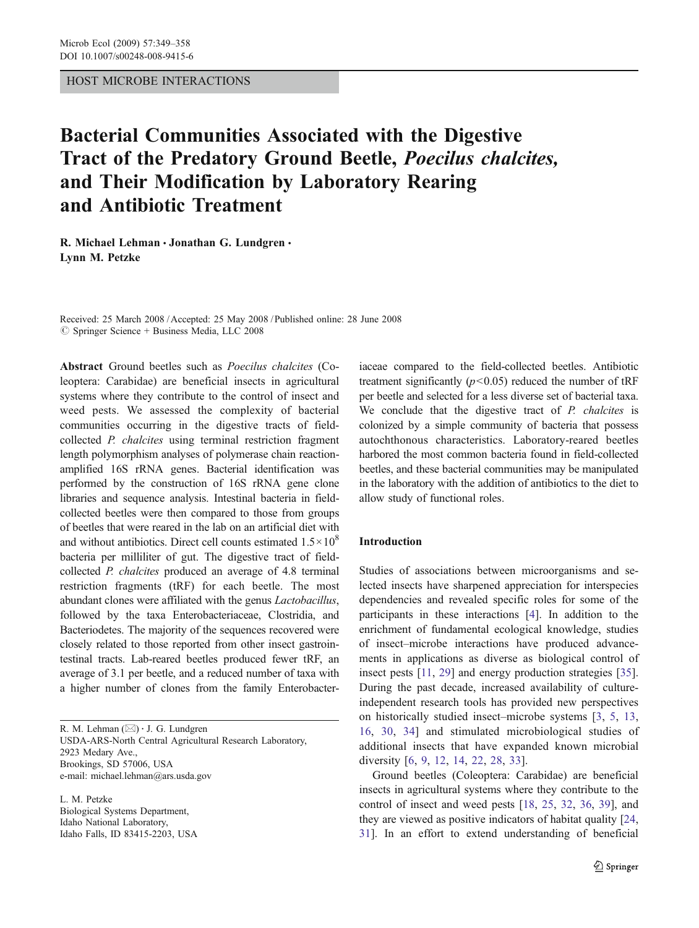## HOST MICROBE INTERACTIONS

# Bacterial Communities Associated with the Digestive Tract of the Predatory Ground Beetle, Poecilus chalcites, and Their Modification by Laboratory Rearing and Antibiotic Treatment

R. Michael Lehman · Jonathan G. Lundgren · Lynn M. Petzke

Received: 25 March 2008 /Accepted: 25 May 2008 / Published online: 28 June 2008  $\circledcirc$  Springer Science + Business Media, LLC 2008

Abstract Ground beetles such as Poecilus chalcites (Coleoptera: Carabidae) are beneficial insects in agricultural systems where they contribute to the control of insect and weed pests. We assessed the complexity of bacterial communities occurring in the digestive tracts of fieldcollected P. chalcites using terminal restriction fragment length polymorphism analyses of polymerase chain reactionamplified 16S rRNA genes. Bacterial identification was performed by the construction of 16S rRNA gene clone libraries and sequence analysis. Intestinal bacteria in fieldcollected beetles were then compared to those from groups of beetles that were reared in the lab on an artificial diet with and without antibiotics. Direct cell counts estimated  $1.5 \times 10^8$ bacteria per milliliter of gut. The digestive tract of fieldcollected P. chalcites produced an average of 4.8 terminal restriction fragments (tRF) for each beetle. The most abundant clones were affiliated with the genus Lactobacillus, followed by the taxa Enterobacteriaceae, Clostridia, and Bacteriodetes. The majority of the sequences recovered were closely related to those reported from other insect gastrointestinal tracts. Lab-reared beetles produced fewer tRF, an average of 3.1 per beetle, and a reduced number of taxa with a higher number of clones from the family Enterobacter-

R. M. Lehman  $(\boxtimes) \cdot$  J. G. Lundgren USDA-ARS-North Central Agricultural Research Laboratory, 2923 Medary Ave., Brookings, SD 57006, USA e-mail: michael.lehman@ars.usda.gov

L. M. Petzke Biological Systems Department, Idaho National Laboratory, Idaho Falls, ID 83415-2203, USA iaceae compared to the field-collected beetles. Antibiotic treatment significantly  $(p<0.05)$  reduced the number of tRF per beetle and selected for a less diverse set of bacterial taxa. We conclude that the digestive tract of P. chalcites is colonized by a simple community of bacteria that possess autochthonous characteristics. Laboratory-reared beetles harbored the most common bacteria found in field-collected beetles, and these bacterial communities may be manipulated in the laboratory with the addition of antibiotics to the diet to allow study of functional roles.

## Introduction

Studies of associations between microorganisms and selected insects have sharpened appreciation for interspecies dependencies and revealed specific roles for some of the participants in these interactions [\[4](#page-8-0)]. In addition to the enrichment of fundamental ecological knowledge, studies of insect–microbe interactions have produced advancements in applications as diverse as biological control of insect pests [[11](#page-8-0), [29](#page-9-0)] and energy production strategies [[35\]](#page-9-0). During the past decade, increased availability of cultureindependent research tools has provided new perspectives on historically studied insect–microbe systems [\[3](#page-8-0), [5,](#page-8-0) [13,](#page-8-0) [16](#page-8-0), [30](#page-9-0), [34\]](#page-9-0) and stimulated microbiological studies of additional insects that have expanded known microbial diversity [[6](#page-8-0), [9](#page-8-0), [12](#page-8-0), [14](#page-8-0), [22](#page-8-0), [28](#page-9-0), [33](#page-9-0)].

Ground beetles (Coleoptera: Carabidae) are beneficial insects in agricultural systems where they contribute to the control of insect and weed pests [[18,](#page-8-0) [25,](#page-9-0) [32](#page-9-0), [36](#page-9-0), [39](#page-9-0)], and they are viewed as positive indicators of habitat quality [[24,](#page-9-0) [31](#page-9-0)]. In an effort to extend understanding of beneficial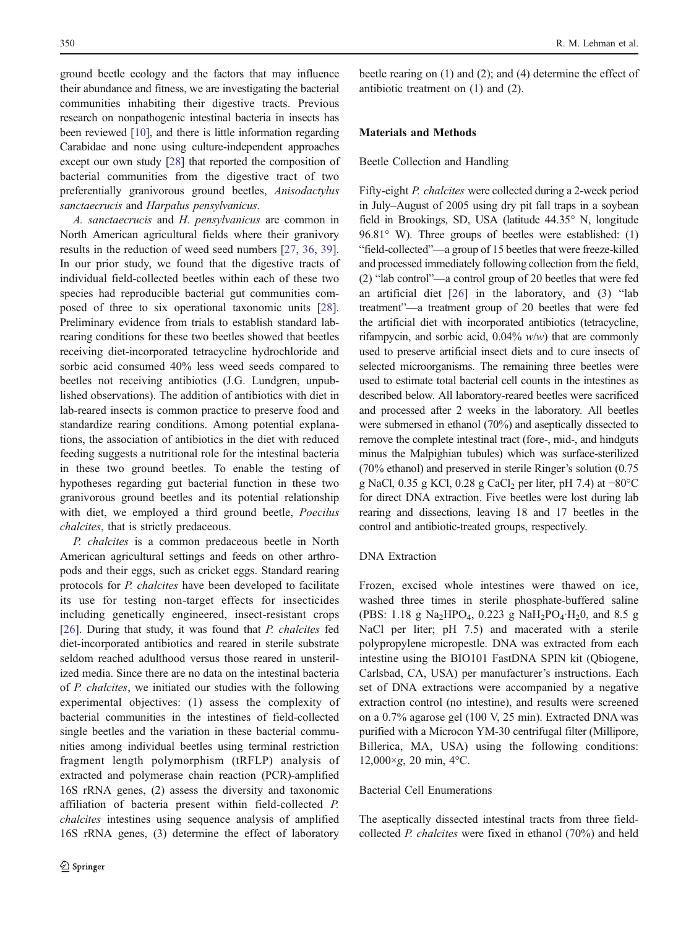ground beetle ecology and the factors that may influence their abundance and fitness, we are investigating the bacterial communities inhabiting their digestive tracts. Previous research on nonpathogenic intestinal bacteria in insects has been reviewed [[10](#page-8-0)], and there is little information regarding Carabidae and none using culture-independent approaches except our own study [\[28](#page-9-0)] that reported the composition of bacterial communities from the digestive tract of two preferentially granivorous ground beetles, Anisodactylus sanctaecrucis and Harpalus pensylvanicus.

A. sanctaecrucis and H. pensylvanicus are common in North American agricultural fields where their granivory results in the reduction of weed seed numbers [\[27](#page-9-0), [36,](#page-9-0) [39](#page-9-0)]. In our prior study, we found that the digestive tracts of individual field-collected beetles within each of these two species had reproducible bacterial gut communities composed of three to six operational taxonomic units [\[28](#page-9-0)]. Preliminary evidence from trials to establish standard labrearing conditions for these two beetles showed that beetles receiving diet-incorporated tetracycline hydrochloride and sorbic acid consumed 40% less weed seeds compared to beetles not receiving antibiotics (J.G. Lundgren, unpublished observations). The addition of antibiotics with diet in lab-reared insects is common practice to preserve food and standardize rearing conditions. Among potential explanations, the association of antibiotics in the diet with reduced feeding suggests a nutritional role for the intestinal bacteria in these two ground beetles. To enable the testing of hypotheses regarding gut bacterial function in these two granivorous ground beetles and its potential relationship with diet, we employed a third ground beetle, Poecilus chalcites, that is strictly predaceous.

P. chalcites is a common predaceous beetle in North American agricultural settings and feeds on other arthropods and their eggs, such as cricket eggs. Standard rearing protocols for P. chalcites have been developed to facilitate its use for testing non-target effects for insecticides including genetically engineered, insect-resistant crops [\[26](#page-9-0)]. During that study, it was found that P. chalcites fed diet-incorporated antibiotics and reared in sterile substrate seldom reached adulthood versus those reared in unsterilized media. Since there are no data on the intestinal bacteria of P. chalcites, we initiated our studies with the following experimental objectives: (1) assess the complexity of bacterial communities in the intestines of field-collected single beetles and the variation in these bacterial communities among individual beetles using terminal restriction fragment length polymorphism (tRFLP) analysis of extracted and polymerase chain reaction (PCR)-amplified 16S rRNA genes, (2) assess the diversity and taxonomic affiliation of bacteria present within field-collected P. chalcites intestines using sequence analysis of amplified 16S rRNA genes, (3) determine the effect of laboratory

beetle rearing on (1) and (2); and (4) determine the effect of antibiotic treatment on (1) and (2).

# Materials and Methods

## Beetle Collection and Handling

Fifty-eight P. chalcites were collected during a 2-week period in July–August of 2005 using dry pit fall traps in a soybean field in Brookings, SD, USA (latitude 44.35° N, longitude 96.81° W). Three groups of beetles were established: (1) "field-collected"—a group of 15 beetles that were freeze-killed and processed immediately following collection from the field, (2) "lab control"—a control group of 20 beetles that were fed an artificial diet [[26\]](#page-9-0) in the laboratory, and (3) "lab treatment"—a treatment group of 20 beetles that were fed the artificial diet with incorporated antibiotics (tetracycline, rifampycin, and sorbic acid,  $0.04\%$  w/w) that are commonly used to preserve artificial insect diets and to cure insects of selected microorganisms. The remaining three beetles were used to estimate total bacterial cell counts in the intestines as described below. All laboratory-reared beetles were sacrificed and processed after 2 weeks in the laboratory. All beetles were submersed in ethanol (70%) and aseptically dissected to remove the complete intestinal tract (fore-, mid-, and hindguts minus the Malpighian tubules) which was surface-sterilized (70% ethanol) and preserved in sterile Ringer's solution (0.75 g NaCl, 0.35 g KCl, 0.28 g CaCl<sub>2</sub> per liter, pH 7.4) at  $-80^{\circ}$ C for direct DNA extraction. Five beetles were lost during lab rearing and dissections, leaving 18 and 17 beetles in the control and antibiotic-treated groups, respectively.

### DNA Extraction

Frozen, excised whole intestines were thawed on ice, washed three times in sterile phosphate-buffered saline (PBS: 1.18 g Na<sub>2</sub>HPO<sub>4</sub>, 0.223 g NaH<sub>2</sub>PO<sub>4</sub>·H<sub>2</sub>0, and 8.5 g NaCl per liter; pH 7.5) and macerated with a sterile polypropylene micropestle. DNA was extracted from each intestine using the BIO101 FastDNA SPIN kit (Qbiogene, Carlsbad, CA, USA) per manufacturer's instructions. Each set of DNA extractions were accompanied by a negative extraction control (no intestine), and results were screened on a 0.7% agarose gel (100 V, 25 min). Extracted DNA was purified with a Microcon YM-30 centrifugal filter (Millipore, Billerica, MA, USA) using the following conditions: 12,000×g, 20 min, 4°C.

## Bacterial Cell Enumerations

The aseptically dissected intestinal tracts from three fieldcollected P. chalcites were fixed in ethanol (70%) and held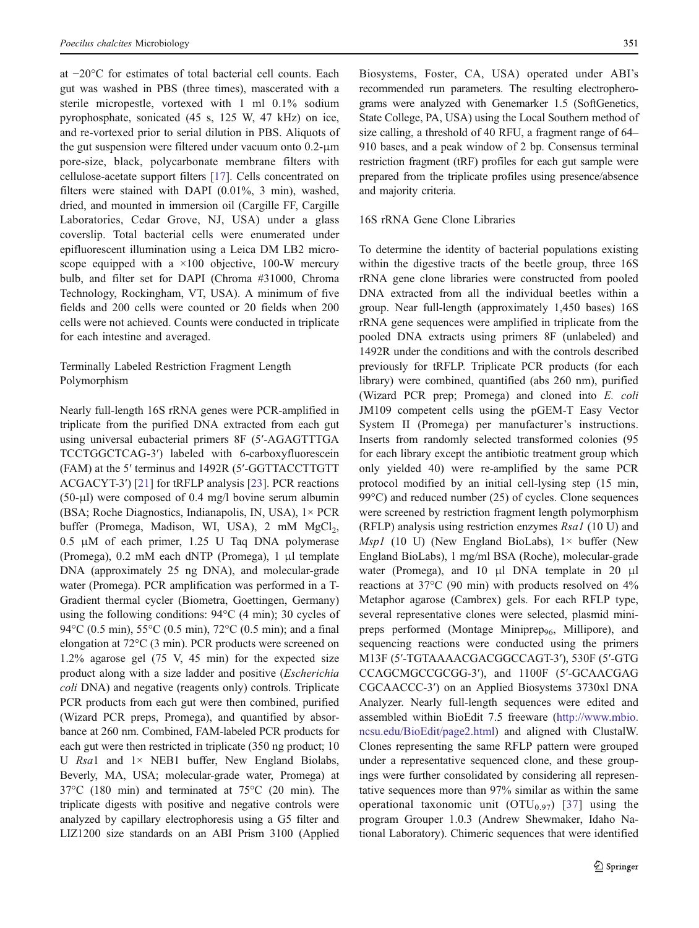at −20°C for estimates of total bacterial cell counts. Each gut was washed in PBS (three times), mascerated with a sterile micropestle, vortexed with 1 ml 0.1% sodium pyrophosphate, sonicated (45 s, 125 W, 47 kHz) on ice, and re-vortexed prior to serial dilution in PBS. Aliquots of the gut suspension were filtered under vacuum onto 0.2-μm pore-size, black, polycarbonate membrane filters with cellulose-acetate support filters [[17\]](#page-8-0). Cells concentrated on filters were stained with DAPI (0.01%, 3 min), washed, dried, and mounted in immersion oil (Cargille FF, Cargille Laboratories, Cedar Grove, NJ, USA) under a glass coverslip. Total bacterial cells were enumerated under epifluorescent illumination using a Leica DM LB2 microscope equipped with a  $\times 100$  objective, 100-W mercury bulb, and filter set for DAPI (Chroma #31000, Chroma Technology, Rockingham, VT, USA). A minimum of five fields and 200 cells were counted or 20 fields when 200 cells were not achieved. Counts were conducted in triplicate for each intestine and averaged.

# Terminally Labeled Restriction Fragment Length Polymorphism

Nearly full-length 16S rRNA genes were PCR-amplified in triplicate from the purified DNA extracted from each gut using universal eubacterial primers 8F (5′-AGAGTTTGA TCCTGGCTCAG-3′) labeled with 6-carboxyfluorescein (FAM) at the 5′ terminus and 1492R (5′-GGTTACCTTGTT ACGACYT-3′) [[21\]](#page-8-0) for tRFLP analysis [[23\]](#page-8-0). PCR reactions (50-μl) were composed of 0.4 mg/l bovine serum albumin (BSA; Roche Diagnostics, Indianapolis, IN, USA), 1× PCR buffer (Promega, Madison, WI, USA), 2 mM MgCl<sub>2</sub>, 0.5 μM of each primer, 1.25 U Taq DNA polymerase (Promega), 0.2 mM each dNTP (Promega), 1 μl template DNA (approximately 25 ng DNA), and molecular-grade water (Promega). PCR amplification was performed in a T-Gradient thermal cycler (Biometra, Goettingen, Germany) using the following conditions: 94°C (4 min); 30 cycles of 94°C (0.5 min), 55°C (0.5 min), 72°C (0.5 min); and a final elongation at 72°C (3 min). PCR products were screened on 1.2% agarose gel (75 V, 45 min) for the expected size product along with a size ladder and positive (Escherichia coli DNA) and negative (reagents only) controls. Triplicate PCR products from each gut were then combined, purified (Wizard PCR preps, Promega), and quantified by absorbance at 260 nm. Combined, FAM-labeled PCR products for each gut were then restricted in triplicate (350 ng product; 10 U Rsa1 and  $1 \times$  NEB1 buffer, New England Biolabs, Beverly, MA, USA; molecular-grade water, Promega) at 37°C (180 min) and terminated at 75°C (20 min). The triplicate digests with positive and negative controls were analyzed by capillary electrophoresis using a G5 filter and LIZ1200 size standards on an ABI Prism 3100 (Applied

Biosystems, Foster, CA, USA) operated under ABI's recommended run parameters. The resulting electropherograms were analyzed with Genemarker 1.5 (SoftGenetics, State College, PA, USA) using the Local Southern method of size calling, a threshold of 40 RFU, a fragment range of 64– 910 bases, and a peak window of 2 bp. Consensus terminal restriction fragment (tRF) profiles for each gut sample were prepared from the triplicate profiles using presence/absence and majority criteria.

## 16S rRNA Gene Clone Libraries

To determine the identity of bacterial populations existing within the digestive tracts of the beetle group, three 16S rRNA gene clone libraries were constructed from pooled DNA extracted from all the individual beetles within a group. Near full-length (approximately 1,450 bases) 16S rRNA gene sequences were amplified in triplicate from the pooled DNA extracts using primers 8F (unlabeled) and 1492R under the conditions and with the controls described previously for tRFLP. Triplicate PCR products (for each library) were combined, quantified (abs 260 nm), purified (Wizard PCR prep; Promega) and cloned into E. coli JM109 competent cells using the pGEM-T Easy Vector System II (Promega) per manufacturer's instructions. Inserts from randomly selected transformed colonies (95 for each library except the antibiotic treatment group which only yielded 40) were re-amplified by the same PCR protocol modified by an initial cell-lysing step (15 min, 99°C) and reduced number (25) of cycles. Clone sequences were screened by restriction fragment length polymorphism (RFLP) analysis using restriction enzymes  $\text{Rsa1}$  (10 U) and *Msp1* (10 U) (New England BioLabs),  $1 \times$  buffer (New England BioLabs), 1 mg/ml BSA (Roche), molecular-grade water (Promega), and 10 μl DNA template in 20 μl reactions at 37°C (90 min) with products resolved on 4% Metaphor agarose (Cambrex) gels. For each RFLP type, several representative clones were selected, plasmid minipreps performed (Montage Miniprep<sub>96</sub>, Millipore), and sequencing reactions were conducted using the primers M13F (5′-TGTAAAACGACGGCCAGT-3′), 530F (5′-GTG CCAGCMGCCGCGG-3′), and 1100F (5′-GCAACGAG CGCAACCC-3′) on an Applied Biosystems 3730xl DNA Analyzer. Nearly full-length sequences were edited and assembled within BioEdit 7.5 freeware [\(http://www.mbio.](http://www.mbio.ncsu.edu/BioEdit/page2.html) [ncsu.edu/BioEdit/page2.html\)](http://www.mbio.ncsu.edu/BioEdit/page2.html) and aligned with ClustalW. Clones representing the same RFLP pattern were grouped under a representative sequenced clone, and these groupings were further consolidated by considering all representative sequences more than 97% similar as within the same operational taxonomic unit  $(OTU_{0.97})$  [[37](#page-9-0)] using the program Grouper 1.0.3 (Andrew Shewmaker, Idaho National Laboratory). Chimeric sequences that were identified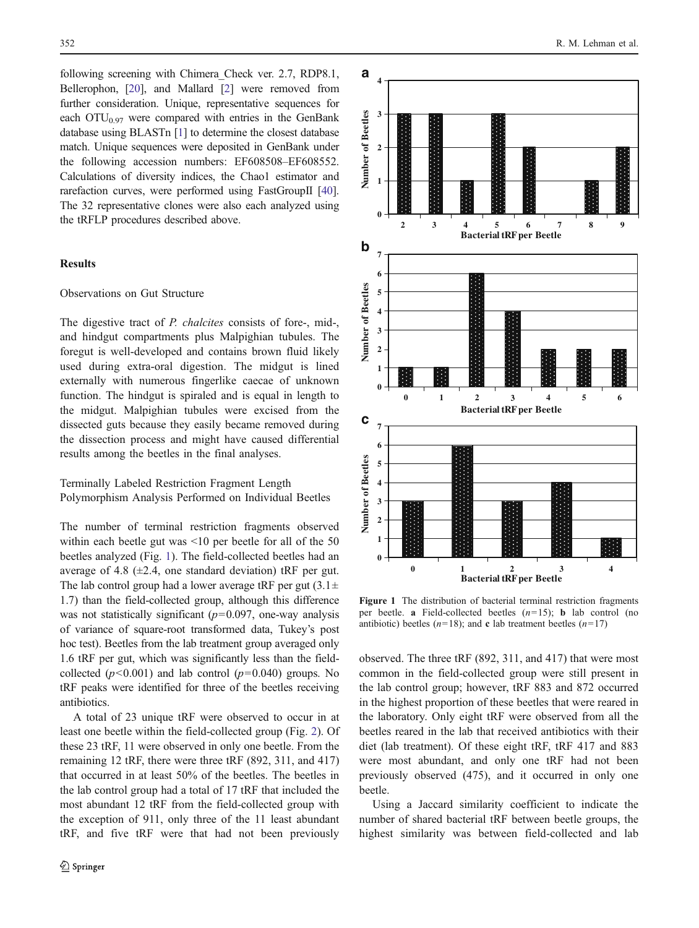following screening with Chimera\_Check ver. 2.7, RDP8.1, Bellerophon, [[20](#page-8-0)], and Mallard [\[2](#page-8-0)] were removed from further consideration. Unique, representative sequences for each  $\text{OTU}_{0.97}$  were compared with entries in the GenBank database using BLASTn [[1](#page-8-0)] to determine the closest database match. Unique sequences were deposited in GenBank under the following accession numbers: EF608508–EF608552. Calculations of diversity indices, the Chao1 estimator and rarefaction curves, were performed using FastGroupII [\[40\]](#page-9-0). The 32 representative clones were also each analyzed using the tRFLP procedures described above.

## Results

# Observations on Gut Structure

The digestive tract of P. chalcites consists of fore-, mid-, and hindgut compartments plus Malpighian tubules. The foregut is well-developed and contains brown fluid likely used during extra-oral digestion. The midgut is lined externally with numerous fingerlike caecae of unknown function. The hindgut is spiraled and is equal in length to the midgut. Malpighian tubules were excised from the dissected guts because they easily became removed during the dissection process and might have caused differential results among the beetles in the final analyses.

Terminally Labeled Restriction Fragment Length Polymorphism Analysis Performed on Individual Beetles

The number of terminal restriction fragments observed within each beetle gut was <10 per beetle for all of the 50 beetles analyzed (Fig. 1). The field-collected beetles had an average of 4.8 ( $\pm$ 2.4, one standard deviation) tRF per gut. The lab control group had a lower average tRF per gut  $(3.1 \pm$ 1.7) than the field-collected group, although this difference was not statistically significant  $(p=0.097,$  one-way analysis of variance of square-root transformed data, Tukey's post hoc test). Beetles from the lab treatment group averaged only 1.6 tRF per gut, which was significantly less than the fieldcollected ( $p<0.001$ ) and lab control ( $p=0.040$ ) groups. No tRF peaks were identified for three of the beetles receiving antibiotics.

A total of 23 unique tRF were observed to occur in at least one beetle within the field-collected group (Fig. [2](#page-4-0)). Of these 23 tRF, 11 were observed in only one beetle. From the remaining 12 tRF, there were three tRF (892, 311, and 417) that occurred in at least 50% of the beetles. The beetles in the lab control group had a total of 17 tRF that included the most abundant 12 tRF from the field-collected group with the exception of 911, only three of the 11 least abundant tRF, and five tRF were that had not been previously



Figure 1 The distribution of bacterial terminal restriction fragments per beetle. a Field-collected beetles  $(n=15)$ ; **b** lab control (no antibiotic) beetles ( $n=18$ ); and **c** lab treatment beetles ( $n=17$ )

observed. The three tRF (892, 311, and 417) that were most common in the field-collected group were still present in the lab control group; however, tRF 883 and 872 occurred in the highest proportion of these beetles that were reared in the laboratory. Only eight tRF were observed from all the beetles reared in the lab that received antibiotics with their diet (lab treatment). Of these eight tRF, tRF 417 and 883 were most abundant, and only one tRF had not been previously observed (475), and it occurred in only one beetle.

Using a Jaccard similarity coefficient to indicate the number of shared bacterial tRF between beetle groups, the highest similarity was between field-collected and lab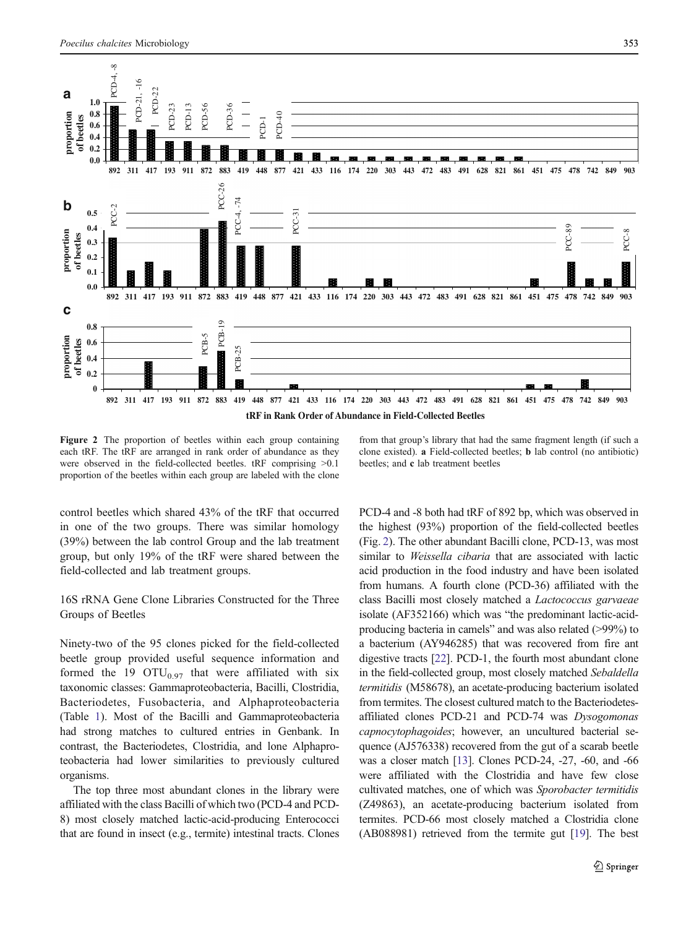<span id="page-4-0"></span>

Figure 2 The proportion of beetles within each group containing each tRF. The tRF are arranged in rank order of abundance as they were observed in the field-collected beetles. tRF comprising >0.1 proportion of the beetles within each group are labeled with the clone

control beetles which shared 43% of the tRF that occurred in one of the two groups. There was similar homology (39%) between the lab control Group and the lab treatment group, but only 19% of the tRF were shared between the field-collected and lab treatment groups.

16S rRNA Gene Clone Libraries Constructed for the Three Groups of Beetles

Ninety-two of the 95 clones picked for the field-collected beetle group provided useful sequence information and formed the 19  $\text{OTU}_{0.97}$  that were affiliated with six taxonomic classes: Gammaproteobacteria, Bacilli, Clostridia, Bacteriodetes, Fusobacteria, and Alphaproteobacteria (Table [1\)](#page-5-0). Most of the Bacilli and Gammaproteobacteria had strong matches to cultured entries in Genbank. In contrast, the Bacteriodetes, Clostridia, and lone Alphaproteobacteria had lower similarities to previously cultured organisms.

The top three most abundant clones in the library were affiliated with the class Bacilli of which two (PCD-4 and PCD-8) most closely matched lactic-acid-producing Enterococci that are found in insect (e.g., termite) intestinal tracts. Clones from that group's library that had the same fragment length (if such a clone existed). a Field-collected beetles; b lab control (no antibiotic) beetles; and c lab treatment beetles

PCD-4 and -8 both had tRF of 892 bp, which was observed in the highest (93%) proportion of the field-collected beetles (Fig. 2). The other abundant Bacilli clone, PCD-13, was most similar to Weissella cibaria that are associated with lactic acid production in the food industry and have been isolated from humans. A fourth clone (PCD-36) affiliated with the class Bacilli most closely matched a Lactococcus garvaeae isolate (AF352166) which was "the predominant lactic-acidproducing bacteria in camels" and was also related (>99%) to a bacterium (AY946285) that was recovered from fire ant digestive tracts [[22](#page-8-0)]. PCD-1, the fourth most abundant clone in the field-collected group, most closely matched Sebaldella termitidis (M58678), an acetate-producing bacterium isolated from termites. The closest cultured match to the Bacteriodetesaffiliated clones PCD-21 and PCD-74 was Dysogomonas capnocytophagoides; however, an uncultured bacterial sequence (AJ576338) recovered from the gut of a scarab beetle was a closer match [\[13\]](#page-8-0). Clones PCD-24, -27, -60, and -66 were affiliated with the Clostridia and have few close cultivated matches, one of which was Sporobacter termitidis (Z49863), an acetate-producing bacterium isolated from termites. PCD-66 most closely matched a Clostridia clone (AB088981) retrieved from the termite gut [\[19\]](#page-8-0). The best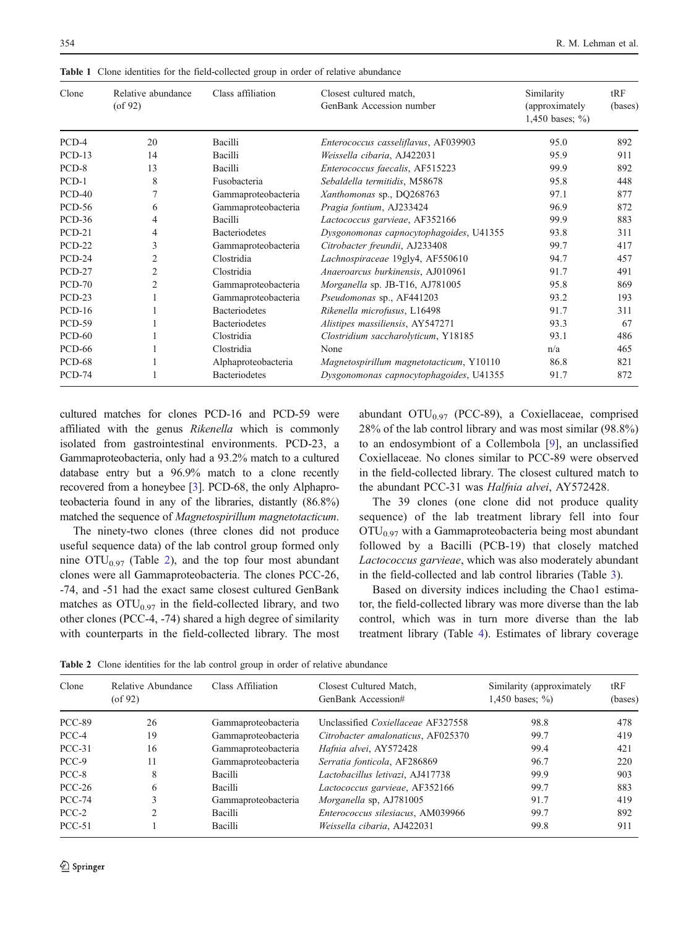| Clone         | Relative abundance<br>$($ of 92 $)$ | Class affiliation    | Closest cultured match,<br>GenBank Accession number | Similarity<br>(approximately<br>1,450 bases; $\%$ ) | tRF<br>(bases) |
|---------------|-------------------------------------|----------------------|-----------------------------------------------------|-----------------------------------------------------|----------------|
| PCD-4         | 20                                  | Bacilli              | Enterococcus casseliflavus, AF039903                | 95.0                                                | 892            |
| $PCD-13$      | 14                                  | Bacilli              | Weissella cibaria, AJ422031                         | 95.9                                                | 911            |
| PCD-8         | 13                                  | Bacilli              | Enterococcus faecalis, AF515223                     | 99.9                                                | 892            |
| $PCD-1$       | 8                                   | Fusobacteria         | Sebaldella termitidis, M58678                       | 95.8                                                | 448            |
| $PCD-40$      | 7                                   | Gammaproteobacteria  | Xanthomonas sp., DQ268763                           | 97.1                                                | 877            |
| <b>PCD-56</b> | 6                                   | Gammaproteobacteria  | Pragia fontium, AJ233424                            | 96.9                                                | 872            |
| <b>PCD-36</b> | 4                                   | Bacilli              | Lactococcus garvieae, AF352166                      | 99.9                                                | 883            |
| $PCD-21$      | 4                                   | <b>Bacteriodetes</b> | Dysgonomonas capnocytophagoides, U41355             | 93.8                                                | 311            |
| <b>PCD-22</b> | 3                                   | Gammaproteobacteria  | Citrobacter freundii, AJ233408                      | 99.7                                                | 417            |
| PCD-24        | 2                                   | Clostridia           | Lachnospiraceae 19gly4, AF550610                    | 94.7                                                | 457            |
| $PCD-27$      | 2                                   | Clostridia           | Anaeroarcus burkinensis, AJ010961                   | 91.7                                                | 491            |
| <b>PCD-70</b> | 2                                   | Gammaproteobacteria  | Morganella sp. JB-T16, AJ781005                     | 95.8                                                | 869            |
| $PCD-23$      |                                     | Gammaproteobacteria  | Pseudomonas sp., AF441203                           | 93.2                                                | 193            |
| $PCD-16$      |                                     | <b>Bacteriodetes</b> | Rikenella microfusus, L16498                        | 91.7                                                | 311            |
| <b>PCD-59</b> |                                     | <b>Bacteriodetes</b> | Alistipes massiliensis, AY547271                    | 93.3                                                | 67             |
| <b>PCD-60</b> |                                     | Clostridia           | Clostridium saccharolyticum, Y18185                 | 93.1                                                | 486            |
| <b>PCD-66</b> |                                     | Clostridia           | None                                                | n/a                                                 | 465            |
| <b>PCD-68</b> |                                     | Alphaproteobacteria  | Magnetospirillum magnetotacticum, Y10110            | 86.8                                                | 821            |
| <b>PCD-74</b> |                                     | <b>Bacteriodetes</b> | Dysgonomonas capnocytophagoides, U41355             | 91.7                                                | 872            |

<span id="page-5-0"></span>Table 1 Clone identities for the field-collected group in order of relative abundance

cultured matches for clones PCD-16 and PCD-59 were affiliated with the genus Rikenella which is commonly isolated from gastrointestinal environments. PCD-23, a Gammaproteobacteria, only had a 93.2% match to a cultured database entry but a 96.9% match to a clone recently recovered from a honeybee [\[3\]](#page-8-0). PCD-68, the only Alphaproteobacteria found in any of the libraries, distantly (86.8%) matched the sequence of Magnetospirillum magnetotacticum.

The ninety-two clones (three clones did not produce useful sequence data) of the lab control group formed only nine  $\text{OTU}_{0.97}$  (Table 2), and the top four most abundant clones were all Gammaproteobacteria. The clones PCC-26, -74, and -51 had the exact same closest cultured GenBank matches as  $\text{OTU}_{0.97}$  in the field-collected library, and two other clones (PCC-4, -74) shared a high degree of similarity with counterparts in the field-collected library. The most abundant  $OTU_{0.97}$  (PCC-89), a Coxiellaceae, comprised 28% of the lab control library and was most similar (98.8%) to an endosymbiont of a Collembola [\[9](#page-8-0)], an unclassified Coxiellaceae. No clones similar to PCC-89 were observed in the field-collected library. The closest cultured match to the abundant PCC-31 was Halfnia alvei, AY572428.

The 39 clones (one clone did not produce quality sequence) of the lab treatment library fell into four  $\text{OTU}_{0.97}$  with a Gammaproteobacteria being most abundant followed by a Bacilli (PCB-19) that closely matched Lactococcus garvieae, which was also moderately abundant in the field-collected and lab control libraries (Table [3\)](#page-6-0).

Based on diversity indices including the Chao1 estimator, the field-collected library was more diverse than the lab control, which was in turn more diverse than the lab treatment library (Table [4\)](#page-6-0). Estimates of library coverage

Table 2 Clone identities for the lab control group in order of relative abundance

| Clone         | Relative Abundance<br>$($ of 92 $)$ | Class Affiliation   | Closest Cultured Match,<br>GenBank Accession# | Similarity (approximately<br>1,450 bases; $\%$ ) | tRF<br>(bases) |
|---------------|-------------------------------------|---------------------|-----------------------------------------------|--------------------------------------------------|----------------|
| <b>PCC-89</b> | 26                                  | Gammaproteobacteria | Unclassified Coxiellaceae AF327558            | 98.8                                             | 478            |
| PCC-4         | 19                                  | Gammaproteobacteria | Citrobacter amalonaticus, AF025370            | 99.7                                             | 419            |
| $PCC-31$      | 16                                  | Gammaproteobacteria | Hafnia alvei, AY572428                        | 99.4                                             | 421            |
| PCC-9         | 11                                  | Gammaproteobacteria | Serratia fonticola, AF286869                  | 96.7                                             | 220            |
| PCC-8         | 8                                   | Bacilli             | Lactobacillus letivazi, AJ417738              | 99.9                                             | 903            |
| $PCC-26$      | 6                                   | Bacilli             | Lactococcus garvieae, AF352166                | 99.7                                             | 883            |
| $PCC-74$      |                                     | Gammaproteobacteria | Morganella sp, AJ781005                       | 91.7                                             | 419            |
| $PCC-2$       |                                     | Bacilli             | Enterococcus silesiacus, AM039966             | 99.7                                             | 892            |
| $PCC-51$      |                                     | Bacilli             | Weissella cibaria, AJ422031                   | 99.8                                             | 911            |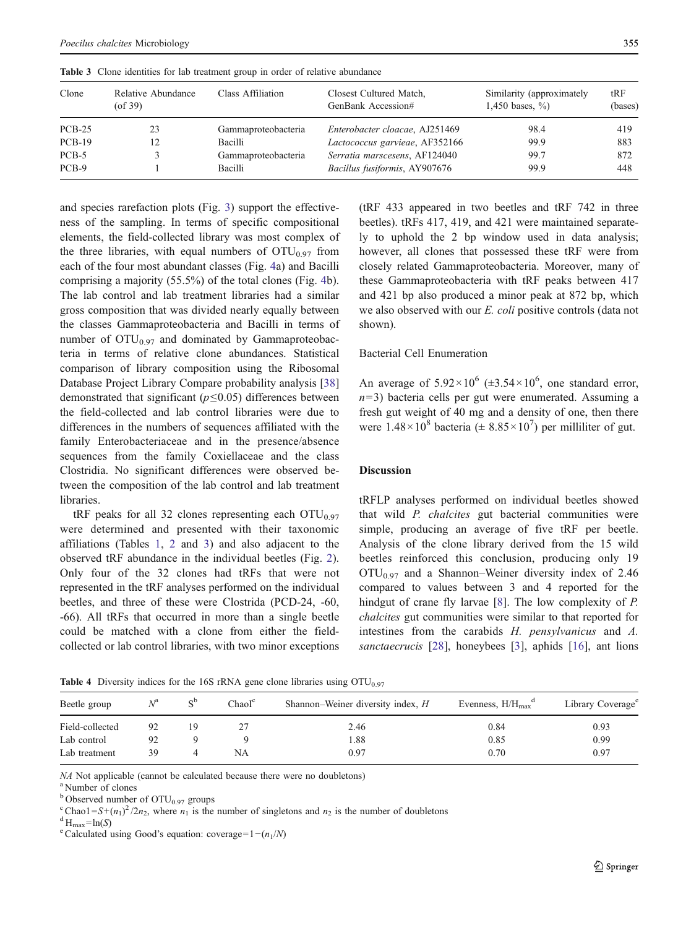| Clone    | Relative Abundance<br>$($ of 39 $)$ | Class Affiliation   | Closest Cultured Match,<br>GenBank Accession# | Similarity (approximately<br>1,450 bases, $\%$ ) | tRF<br>(bases) |
|----------|-------------------------------------|---------------------|-----------------------------------------------|--------------------------------------------------|----------------|
| $PCB-25$ | 23                                  | Gammaproteobacteria | Enterobacter cloacae, AJ251469                | 98.4                                             | 419            |
| $PCB-19$ | 12                                  | Bacilli             | Lactococcus garvieae, AF352166                | 99.9                                             | 883            |
| PCB-5    |                                     | Gammaproteobacteria | Serratia marscesens, AF124040                 | 99.7                                             | 872            |
| PCB-9    |                                     | Bacilli             | Bacillus fusiformis, AY907676                 | 99.9                                             | 448            |

<span id="page-6-0"></span>Table 3 Clone identities for lab treatment group in order of relative abundance

and species rarefaction plots (Fig. [3\)](#page-7-0) support the effectiveness of the sampling. In terms of specific compositional elements, the field-collected library was most complex of the three libraries, with equal numbers of  $\text{OTU}_{0.97}$  from each of the four most abundant classes (Fig. [4](#page-7-0)a) and Bacilli comprising a majority (55.5%) of the total clones (Fig. [4](#page-7-0)b). The lab control and lab treatment libraries had a similar gross composition that was divided nearly equally between the classes Gammaproteobacteria and Bacilli in terms of number of  $\text{OTU}_{0.97}$  and dominated by Gammaproteobacteria in terms of relative clone abundances. Statistical comparison of library composition using the Ribosomal Database Project Library Compare probability analysis [[38\]](#page-9-0) demonstrated that significant ( $p \le 0.05$ ) differences between the field-collected and lab control libraries were due to differences in the numbers of sequences affiliated with the family Enterobacteriaceae and in the presence/absence sequences from the family Coxiellaceae and the class Clostridia. No significant differences were observed between the composition of the lab control and lab treatment libraries.

tRF peaks for all 32 clones representing each  $\text{OTU}_{0.97}$ were determined and presented with their taxonomic affiliations (Tables [1](#page-5-0), [2](#page-5-0) and 3) and also adjacent to the observed tRF abundance in the individual beetles (Fig. [2](#page-4-0)). Only four of the 32 clones had tRFs that were not represented in the tRF analyses performed on the individual beetles, and three of these were Clostrida (PCD-24, -60, -66). All tRFs that occurred in more than a single beetle could be matched with a clone from either the fieldcollected or lab control libraries, with two minor exceptions

(tRF 433 appeared in two beetles and tRF 742 in three beetles). tRFs 417, 419, and 421 were maintained separately to uphold the 2 bp window used in data analysis; however, all clones that possessed these tRF were from closely related Gammaproteobacteria. Moreover, many of these Gammaproteobacteria with tRF peaks between 417 and 421 bp also produced a minor peak at 872 bp, which we also observed with our E. coli positive controls (data not shown).

# Bacterial Cell Enumeration

An average of  $5.92 \times 10^6$  ( $\pm 3.54 \times 10^6$ , one standard error,  $n=3$ ) bacteria cells per gut were enumerated. Assuming a fresh gut weight of 40 mg and a density of one, then there were  $1.48 \times 10^8$  bacteria ( $\pm 8.85 \times 10^7$ ) per milliliter of gut.

## Discussion

tRFLP analyses performed on individual beetles showed that wild P. chalcites gut bacterial communities were simple, producing an average of five tRF per beetle. Analysis of the clone library derived from the 15 wild beetles reinforced this conclusion, producing only 19  $\text{OTU}_{0.97}$  and a Shannon–Weiner diversity index of 2.46 compared to values between 3 and 4 reported for the hindgut of crane fly larvae [[8\]](#page-8-0). The low complexity of P. chalcites gut communities were similar to that reported for intestines from the carabids H. pensylvanicus and A. sanctaecrucis [\[28](#page-9-0)], honeybees [[3\]](#page-8-0), aphids [[16\]](#page-8-0), ant lions

| Beetle group    | $N^{\rm a}$ | $S^b$ | ChaoI <sup>c</sup> | Shannon–Weiner diversity index, H | Evenness, $H/H_{\text{max}}^d$ | Library Coverage <sup>e</sup> |
|-----------------|-------------|-------|--------------------|-----------------------------------|--------------------------------|-------------------------------|
| Field-collected | 92          |       |                    | 2.46                              | 0.84                           | 0.93                          |
| Lab control     | 92          |       |                    | 1.88                              | 0.85                           | 0.99                          |
| Lab treatment   | 39          |       | NA                 | 0.97                              | 0.70                           | 0.97                          |

**Table 4** Diversity indices for the 16S rRNA gene clone libraries using  $\text{OTU}_{0.97}$ 

 $NA$  Not applicable (cannot be calculated because there were no doubletons)  $a$ <sup>a</sup> Number of clones

 $b$  Observed number of  $\text{OTU}_{0.97}$  groups

<sup>c</sup>Chao1=S+(n<sub>1</sub>)<sup>2</sup>/2n<sub>2</sub>, where n<sub>1</sub> is the number of singletons and n<sub>2</sub> is the number of doubletons dH<sub>max</sub>=ln(S)<br><sup>e</sup>Calculated using Good's equation: coverage=1−(n<sub>1</sub>/N)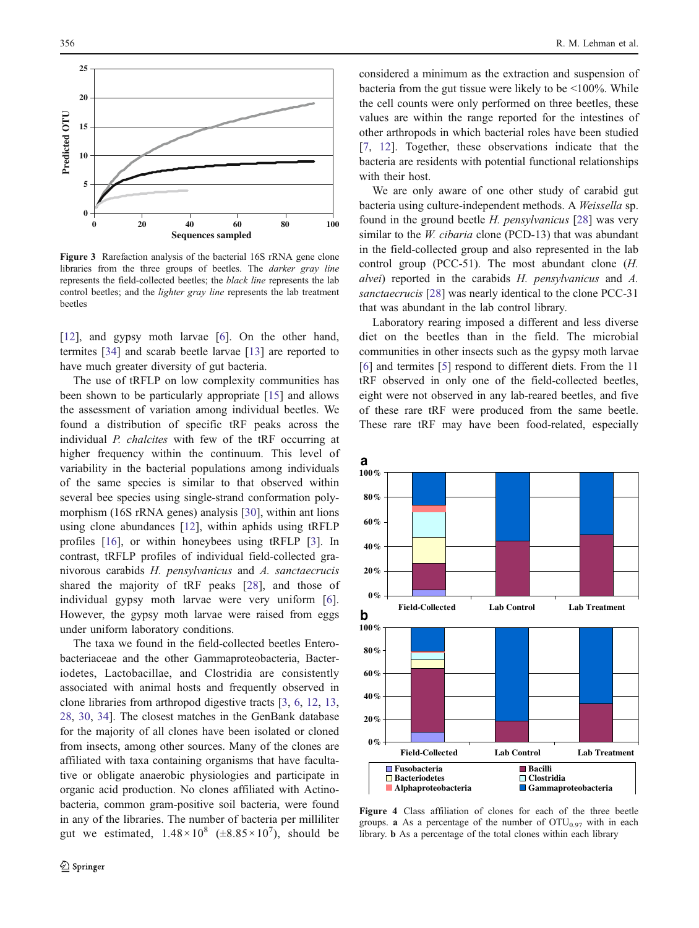<span id="page-7-0"></span>

Figure 3 Rarefaction analysis of the bacterial 16S rRNA gene clone libraries from the three groups of beetles. The darker gray line represents the field-collected beetles; the black line represents the lab control beetles; and the *lighter gray line* represents the lab treatment beetles

[\[12](#page-8-0)], and gypsy moth larvae [\[6](#page-8-0)]. On the other hand, termites [[34\]](#page-9-0) and scarab beetle larvae [\[13](#page-8-0)] are reported to have much greater diversity of gut bacteria.

The use of tRFLP on low complexity communities has been shown to be particularly appropriate [\[15](#page-8-0)] and allows the assessment of variation among individual beetles. We found a distribution of specific tRF peaks across the individual P. chalcites with few of the tRF occurring at higher frequency within the continuum. This level of variability in the bacterial populations among individuals of the same species is similar to that observed within several bee species using single-strand conformation polymorphism (16S rRNA genes) analysis [[30\]](#page-9-0), within ant lions using clone abundances [[12\]](#page-8-0), within aphids using tRFLP profiles [[16\]](#page-8-0), or within honeybees using tRFLP [[3\]](#page-8-0). In contrast, tRFLP profiles of individual field-collected granivorous carabids H. pensylvanicus and A. sanctaecrucis shared the majority of tRF peaks [\[28](#page-9-0)], and those of individual gypsy moth larvae were very uniform [\[6](#page-8-0)]. However, the gypsy moth larvae were raised from eggs under uniform laboratory conditions.

The taxa we found in the field-collected beetles Enterobacteriaceae and the other Gammaproteobacteria, Bacteriodetes, Lactobacillae, and Clostridia are consistently associated with animal hosts and frequently observed in clone libraries from arthropod digestive tracts [\[3](#page-8-0), [6,](#page-8-0) [12](#page-8-0), [13,](#page-8-0) [28](#page-9-0), [30](#page-9-0), [34](#page-9-0)]. The closest matches in the GenBank database for the majority of all clones have been isolated or cloned from insects, among other sources. Many of the clones are affiliated with taxa containing organisms that have facultative or obligate anaerobic physiologies and participate in organic acid production. No clones affiliated with Actinobacteria, common gram-positive soil bacteria, were found in any of the libraries. The number of bacteria per milliliter gut we estimated,  $1.48 \times 10^8$  ( $\pm 8.85 \times 10^7$ ), should be

considered a minimum as the extraction and suspension of bacteria from the gut tissue were likely to be <100%. While the cell counts were only performed on three beetles, these values are within the range reported for the intestines of other arthropods in which bacterial roles have been studied [\[7](#page-8-0), [12](#page-8-0)]. Together, these observations indicate that the bacteria are residents with potential functional relationships with their host.

We are only aware of one other study of carabid gut bacteria using culture-independent methods. A Weissella sp. found in the ground beetle H. pensylvanicus [[28\]](#page-9-0) was very similar to the *W. cibaria* clone (PCD-13) that was abundant in the field-collected group and also represented in the lab control group (PCC-51). The most abundant clone (H. alvei) reported in the carabids H. pensylvanicus and A. sanctaecrucis [\[28](#page-9-0)] was nearly identical to the clone PCC-31 that was abundant in the lab control library.

Laboratory rearing imposed a different and less diverse diet on the beetles than in the field. The microbial communities in other insects such as the gypsy moth larvae [\[6](#page-8-0)] and termites [\[5](#page-8-0)] respond to different diets. From the 11 tRF observed in only one of the field-collected beetles, eight were not observed in any lab-reared beetles, and five of these rare tRF were produced from the same beetle. These rare tRF may have been food-related, especially



Figure 4 Class affiliation of clones for each of the three beetle groups. **a** As a percentage of the number of  $OTU_{0.97}$  with in each library. b As a percentage of the total clones within each library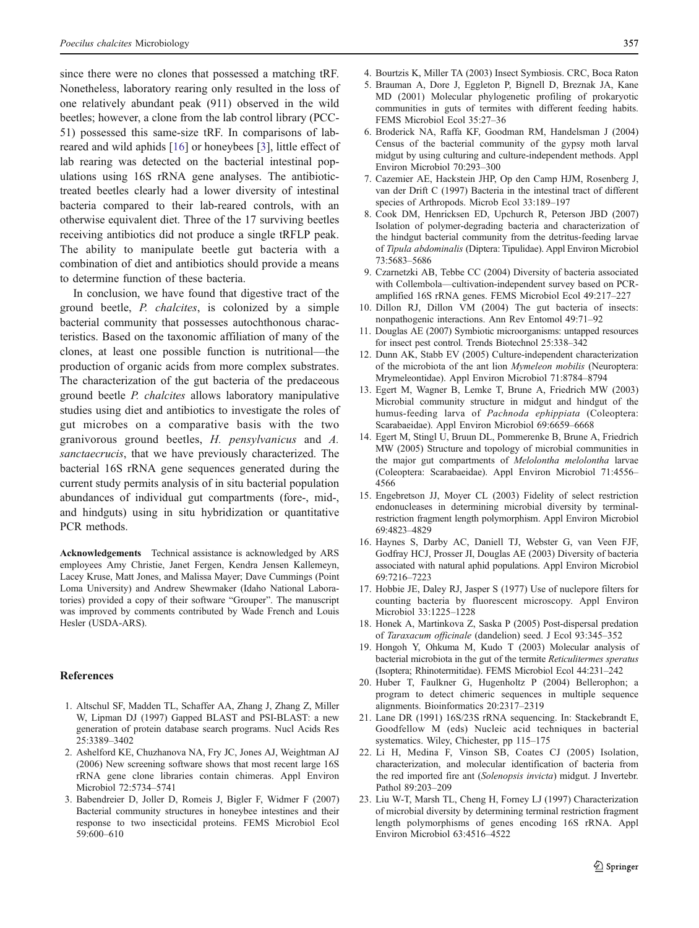<span id="page-8-0"></span>since there were no clones that possessed a matching tRF. Nonetheless, laboratory rearing only resulted in the loss of one relatively abundant peak (911) observed in the wild beetles; however, a clone from the lab control library (PCC-51) possessed this same-size tRF. In comparisons of labreared and wild aphids [16] or honeybees [3], little effect of lab rearing was detected on the bacterial intestinal populations using 16S rRNA gene analyses. The antibiotictreated beetles clearly had a lower diversity of intestinal bacteria compared to their lab-reared controls, with an otherwise equivalent diet. Three of the 17 surviving beetles receiving antibiotics did not produce a single tRFLP peak. The ability to manipulate beetle gut bacteria with a combination of diet and antibiotics should provide a means to determine function of these bacteria.

In conclusion, we have found that digestive tract of the ground beetle, P. chalcites, is colonized by a simple bacterial community that possesses autochthonous characteristics. Based on the taxonomic affiliation of many of the clones, at least one possible function is nutritional—the production of organic acids from more complex substrates. The characterization of the gut bacteria of the predaceous ground beetle P. chalcites allows laboratory manipulative studies using diet and antibiotics to investigate the roles of gut microbes on a comparative basis with the two granivorous ground beetles, H. pensylvanicus and A. sanctaecrucis, that we have previously characterized. The bacterial 16S rRNA gene sequences generated during the current study permits analysis of in situ bacterial population abundances of individual gut compartments (fore-, mid-, and hindguts) using in situ hybridization or quantitative PCR methods.

Acknowledgements Technical assistance is acknowledged by ARS employees Amy Christie, Janet Fergen, Kendra Jensen Kallemeyn, Lacey Kruse, Matt Jones, and Malissa Mayer; Dave Cummings (Point Loma University) and Andrew Shewmaker (Idaho National Laboratories) provided a copy of their software "Grouper". The manuscript was improved by comments contributed by Wade French and Louis Hesler (USDA-ARS).

### References

- 1. Altschul SF, Madden TL, Schaffer AA, Zhang J, Zhang Z, Miller W, Lipman DJ (1997) Gapped BLAST and PSI-BLAST: a new generation of protein database search programs. Nucl Acids Res 25:3389–3402
- 2. Ashelford KE, Chuzhanova NA, Fry JC, Jones AJ, Weightman AJ (2006) New screening software shows that most recent large 16S rRNA gene clone libraries contain chimeras. Appl Environ Microbiol 72:5734–5741
- 3. Babendreier D, Joller D, Romeis J, Bigler F, Widmer F (2007) Bacterial community structures in honeybee intestines and their response to two insecticidal proteins. FEMS Microbiol Ecol 59:600–610
- 4. Bourtzis K, Miller TA (2003) Insect Symbiosis. CRC, Boca Raton
- 5. Brauman A, Dore J, Eggleton P, Bignell D, Breznak JA, Kane MD (2001) Molecular phylogenetic profiling of prokaryotic communities in guts of termites with different feeding habits. FEMS Microbiol Ecol 35:27–36
- 6. Broderick NA, Raffa KF, Goodman RM, Handelsman J (2004) Census of the bacterial community of the gypsy moth larval midgut by using culturing and culture-independent methods. Appl Environ Microbiol 70:293–300
- 7. Cazemier AE, Hackstein JHP, Op den Camp HJM, Rosenberg J, van der Drift C (1997) Bacteria in the intestinal tract of different species of Arthropods. Microb Ecol 33:189–197
- 8. Cook DM, Henricksen ED, Upchurch R, Peterson JBD (2007) Isolation of polymer-degrading bacteria and characterization of the hindgut bacterial community from the detritus-feeding larvae of Tipula abdominalis (Diptera: Tipulidae). Appl Environ Microbiol 73:5683–5686
- 9. Czarnetzki AB, Tebbe CC (2004) Diversity of bacteria associated with Collembola—cultivation-independent survey based on PCRamplified 16S rRNA genes. FEMS Microbiol Ecol 49:217–227
- 10. Dillon RJ, Dillon VM (2004) The gut bacteria of insects: nonpathogenic interactions. Ann Rev Entomol 49:71–92
- 11. Douglas AE (2007) Symbiotic microorganisms: untapped resources for insect pest control. Trends Biotechnol 25:338–342
- 12. Dunn AK, Stabb EV (2005) Culture-independent characterization of the microbiota of the ant lion Mymeleon mobilis (Neuroptera: Mrymeleontidae). Appl Environ Microbiol 71:8784–8794
- 13. Egert M, Wagner B, Lemke T, Brune A, Friedrich MW (2003) Microbial community structure in midgut and hindgut of the humus-feeding larva of Pachnoda ephippiata (Coleoptera: Scarabaeidae). Appl Environ Microbiol 69:6659–6668
- 14. Egert M, Stingl U, Bruun DL, Pommerenke B, Brune A, Friedrich MW (2005) Structure and topology of microbial communities in the major gut compartments of Melolontha melolontha larvae (Coleoptera: Scarabaeidae). Appl Environ Microbiol 71:4556– 4566
- 15. Engebretson JJ, Moyer CL (2003) Fidelity of select restriction endonucleases in determining microbial diversity by terminalrestriction fragment length polymorphism. Appl Environ Microbiol 69:4823–4829
- 16. Haynes S, Darby AC, Daniell TJ, Webster G, van Veen FJF, Godfray HCJ, Prosser JI, Douglas AE (2003) Diversity of bacteria associated with natural aphid populations. Appl Environ Microbiol 69:7216–7223
- 17. Hobbie JE, Daley RJ, Jasper S (1977) Use of nuclepore filters for counting bacteria by fluorescent microscopy. Appl Environ Microbiol 33:1225–1228
- 18. Honek A, Martinkova Z, Saska P (2005) Post-dispersal predation of Taraxacum officinale (dandelion) seed. J Ecol 93:345–352
- 19. Hongoh Y, Ohkuma M, Kudo T (2003) Molecular analysis of bacterial microbiota in the gut of the termite Reticulitermes speratus (Isoptera; Rhinotermitidae). FEMS Microbiol Ecol 44:231–242
- 20. Huber T, Faulkner G, Hugenholtz P (2004) Bellerophon; a program to detect chimeric sequences in multiple sequence alignments. Bioinformatics 20:2317–2319
- 21. Lane DR (1991) 16S/23S rRNA sequencing. In: Stackebrandt E, Goodfellow M (eds) Nucleic acid techniques in bacterial systematics. Wiley, Chichester, pp 115–175
- 22. Li H, Medina F, Vinson SB, Coates CJ (2005) Isolation, characterization, and molecular identification of bacteria from the red imported fire ant (Solenopsis invicta) midgut. J Invertebr. Pathol 89:203–209
- 23. Liu W-T, Marsh TL, Cheng H, Forney LJ (1997) Characterization of microbial diversity by determining terminal restriction fragment length polymorphisms of genes encoding 16S rRNA. Appl Environ Microbiol 63:4516–4522